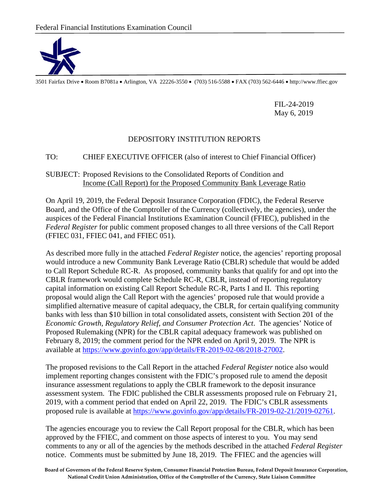

3501 Fairfax Drive • Room B7081a • Arlington, VA 22226-3550 • (703) 516-5588 • FAX (703) 562-6446 • http://www.ffiec.gov

FIL-24-2019 May 6, 2019

## DEPOSITORY INSTITUTION REPORTS

## TO: CHIEF EXECUTIVE OFFICER (also of interest to Chief Financial Officer)

## SUBJECT: Proposed Revisions to the Consolidated Reports of Condition and Income (Call Report) for the Proposed Community Bank Leverage Ratio

On April 19, 2019, the Federal Deposit Insurance Corporation (FDIC), the Federal Reserve Board, and the Office of the Comptroller of the Currency (collectively, the agencies), under the auspices of the Federal Financial Institutions Examination Council (FFIEC), published in the *Federal Register* for public comment proposed changes to all three versions of the Call Report (FFIEC 031, FFIEC 041, and FFIEC 051).

As described more fully in the attached *Federal Register* notice, the agencies' reporting proposal would introduce a new Community Bank Leverage Ratio (CBLR) schedule that would be added to Call Report Schedule RC-R. As proposed, community banks that qualify for and opt into the CBLR framework would complete Schedule RC-R, CBLR, instead of reporting regulatory capital information on existing Call Report Schedule RC-R, Parts I and II. This reporting proposal would align the Call Report with the agencies' proposed rule that would provide a simplified alternative measure of capital adequacy, the CBLR, for certain qualifying community banks with less than \$10 billion in total consolidated assets, consistent with Section 201 of the *Economic Growth, Regulatory Relief, and Consumer Protection Act*. The agencies' Notice of Proposed Rulemaking (NPR) for the CBLR capital adequacy framework was published on February 8, 2019; the comment period for the NPR ended on April 9, 2019. The NPR is available at [https://www.govinfo.gov/app/details/FR-2019-02-08/2018-27002.](https://www.govinfo.gov/app/details/FR-2019-02-08/2018-27002)

The proposed revisions to the Call Report in the attached *Federal Register* notice also would implement reporting changes consistent with the FDIC's proposed rule to amend the deposit insurance assessment regulations to apply the CBLR framework to the deposit insurance assessment system. The FDIC published the CBLR assessments proposed rule on February 21, 2019, with a comment period that ended on April 22, 2019. The FDIC's CBLR assessments proposed rule is available at [https://www.govinfo.gov/app/details/FR-2019-02-21/2019-02761.](https://www.govinfo.gov/app/details/FR-2019-02-21/2019-02761)

The agencies encourage you to review the Call Report proposal for the CBLR, which has been approved by the FFIEC, and comment on those aspects of interest to you. You may send comments to any or all of the agencies by the methods described in the attached *Federal Register* notice. Comments must be submitted by June 18, 2019. The FFIEC and the agencies will